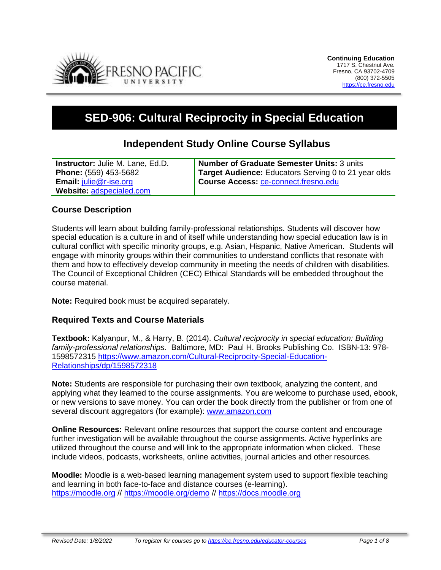

# **SED-906: Cultural Reciprocity in Special Education**

# **Independent Study Online Course Syllabus**

| <b>Instructor:</b> Julie M. Lane, Ed.D. | Number of Graduate Semester Units: 3 units           |
|-----------------------------------------|------------------------------------------------------|
| <b>Phone:</b> (559) 453-5682            | Target Audience: Educators Serving 0 to 21 year olds |
| <b>Email:</b> $i$ ulie@r-ise.org        | Course Access: <b>Ce-connect.fresno.edu</b>          |
| Website: adspecialed.com                |                                                      |

#### **Course Description**

Students will learn about building family-professional relationships. Students will discover how special education is a culture in and of itself while understanding how special education law is in cultural conflict with specific minority groups, e.g. Asian, Hispanic, Native American. Students will engage with minority groups within their communities to understand conflicts that resonate with them and how to effectively develop community in meeting the needs of children with disabilities. The Council of Exceptional Children (CEC) Ethical Standards will be embedded throughout the course material.

**Note:** Required book must be acquired separately.

#### **Required Texts and Course Materials**

**Textbook:** Kalyanpur, M., & Harry, B. (2014). *Cultural reciprocity in special education: Building family-professional relationships.* Baltimore, MD: Paul H. Brooks Publishing Co. ISBN-13: 978- 1598572315 [https://www.amazon.com/Cultural-Reciprocity-Special-Education-](https://www.amazon.com/Cultural-Reciprocity-Special-Education-Relationships/dp/1598572318)[Relationships/dp/1598572318](https://www.amazon.com/Cultural-Reciprocity-Special-Education-Relationships/dp/1598572318)

**Note:** Students are responsible for purchasing their own textbook, analyzing the content, and applying what they learned to the course assignments. You are welcome to purchase used, ebook, or new versions to save money. You can order the book directly from the publisher or from one of several discount aggregators (for example): [www.amazon.com](http://www.amazon.com/)

**Online Resources:** Relevant online resources that support the course content and encourage further investigation will be available throughout the course assignments. Active hyperlinks are utilized throughout the course and will link to the appropriate information when clicked. These include videos, podcasts, worksheets, online activities, journal articles and other resources.

**Moodle:** Moodle is a web-based learning management system used to support flexible teaching and learning in both face-to-face and distance courses (e-learning). [https://moodle.org](https://moodle.org/) // <https://moodle.org/demo> // [https://docs.moodle.org](https://docs.moodle.org/)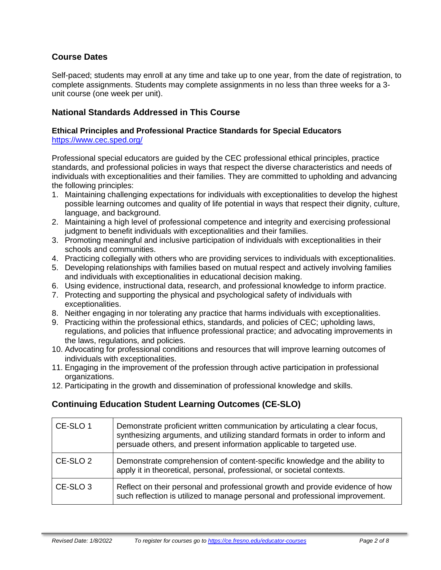# **Course Dates**

Self-paced; students may enroll at any time and take up to one year, from the date of registration, to complete assignments. Students may complete assignments in no less than three weeks for a 3 unit course (one week per unit).

## **National Standards Addressed in This Course**

#### **Ethical Principles and Professional Practice Standards for Special Educators** <https://www.cec.sped.org/>

Professional special educators are guided by the CEC professional ethical principles, practice standards, and professional policies in ways that respect the diverse characteristics and needs of individuals with exceptionalities and their families. They are committed to upholding and advancing the following principles:

- 1. Maintaining challenging expectations for individuals with exceptionalities to develop the highest possible learning outcomes and quality of life potential in ways that respect their dignity, culture, language, and background.
- 2. Maintaining a high level of professional competence and integrity and exercising professional judgment to benefit individuals with exceptionalities and their families.
- 3. Promoting meaningful and inclusive participation of individuals with exceptionalities in their schools and communities.
- 4. Practicing collegially with others who are providing services to individuals with exceptionalities.
- 5. Developing relationships with families based on mutual respect and actively involving families and individuals with exceptionalities in educational decision making.
- 6. Using evidence, instructional data, research, and professional knowledge to inform practice.
- 7. Protecting and supporting the physical and psychological safety of individuals with exceptionalities.
- 8. Neither engaging in nor tolerating any practice that harms individuals with exceptionalities.
- 9. Practicing within the professional ethics, standards, and policies of CEC; upholding laws, regulations, and policies that influence professional practice; and advocating improvements in the laws, regulations, and policies.
- 10. Advocating for professional conditions and resources that will improve learning outcomes of individuals with exceptionalities.
- 11. Engaging in the improvement of the profession through active participation in professional organizations.
- 12. Participating in the growth and dissemination of professional knowledge and skills.

### **Continuing Education Student Learning Outcomes (CE-SLO)**

| CE-SLO 1            | Demonstrate proficient written communication by articulating a clear focus,<br>synthesizing arguments, and utilizing standard formats in order to inform and<br>persuade others, and present information applicable to targeted use. |
|---------------------|--------------------------------------------------------------------------------------------------------------------------------------------------------------------------------------------------------------------------------------|
| CE-SLO <sub>2</sub> | Demonstrate comprehension of content-specific knowledge and the ability to<br>apply it in theoretical, personal, professional, or societal contexts.                                                                                 |
| CE-SLO <sub>3</sub> | Reflect on their personal and professional growth and provide evidence of how<br>such reflection is utilized to manage personal and professional improvement.                                                                        |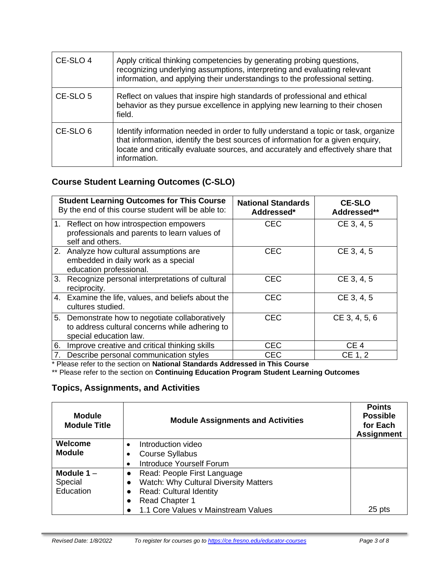| CE-SLO 4 | Apply critical thinking competencies by generating probing questions,<br>recognizing underlying assumptions, interpreting and evaluating relevant<br>information, and applying their understandings to the professional setting.                                           |
|----------|----------------------------------------------------------------------------------------------------------------------------------------------------------------------------------------------------------------------------------------------------------------------------|
| CE-SLO 5 | Reflect on values that inspire high standards of professional and ethical<br>behavior as they pursue excellence in applying new learning to their chosen<br>field.                                                                                                         |
| CE-SLO 6 | Identify information needed in order to fully understand a topic or task, organize<br>that information, identify the best sources of information for a given enquiry,<br>locate and critically evaluate sources, and accurately and effectively share that<br>information. |

# **Course Student Learning Outcomes (C-SLO)**

|    | <b>Student Learning Outcomes for This Course</b><br>By the end of this course student will be able to:                      | <b>National Standards</b><br>Addressed* | <b>CE-SLO</b><br>Addressed** |
|----|-----------------------------------------------------------------------------------------------------------------------------|-----------------------------------------|------------------------------|
|    | 1. Reflect on how introspection empowers<br>professionals and parents to learn values of<br>self and others.                | <b>CEC</b>                              | CE 3, 4, 5                   |
|    | 2. Analyze how cultural assumptions are<br>embedded in daily work as a special<br>education professional.                   | <b>CEC</b>                              | CE 3, 4, 5                   |
|    | 3. Recognize personal interpretations of cultural<br>reciprocity.                                                           | <b>CEC</b>                              | CE 3, 4, 5                   |
|    | 4. Examine the life, values, and beliefs about the<br>cultures studied.                                                     | <b>CEC</b>                              | CE 3, 4, 5                   |
|    | 5. Demonstrate how to negotiate collaboratively<br>to address cultural concerns while adhering to<br>special education law. | <b>CEC</b>                              | CE 3, 4, 5, 6                |
| 6. | Improve creative and critical thinking skills                                                                               | <b>CEC</b>                              | CE <sub>4</sub>              |
| 7. | Describe personal communication styles                                                                                      | <b>CEC</b>                              | CE 1, 2                      |

\* Please refer to the section on **National Standards Addressed in This Course**

\*\* Please refer to the section on **Continuing Education Program Student Learning Outcomes**

### **Topics, Assignments, and Activities**

| <b>Module</b><br><b>Module Title</b> | <b>Module Assignments and Activities</b>    | <b>Points</b><br><b>Possible</b><br>for Each<br><b>Assignment</b> |
|--------------------------------------|---------------------------------------------|-------------------------------------------------------------------|
| Welcome                              | Introduction video                          |                                                                   |
| <b>Module</b>                        | <b>Course Syllabus</b>                      |                                                                   |
|                                      | <b>Introduce Yourself Forum</b>             |                                                                   |
| Module $1 -$                         | Read: People First Language<br>$\bullet$    |                                                                   |
| Special                              | Watch: Why Cultural Diversity Matters       |                                                                   |
| Education                            | <b>Read: Cultural Identity</b><br>$\bullet$ |                                                                   |
|                                      | <b>Read Chapter 1</b>                       |                                                                   |
|                                      | 1.1 Core Values v Mainstream Values         | 25 pts                                                            |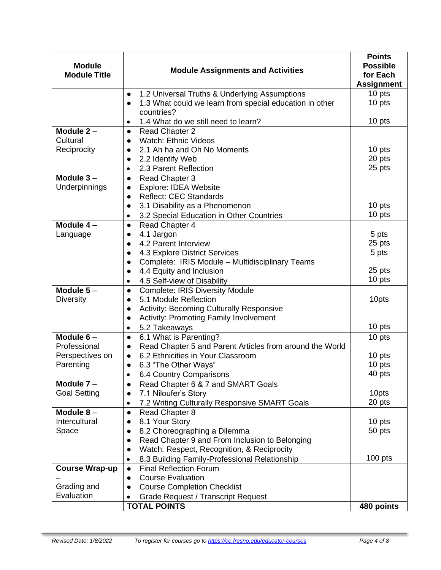| <b>Module</b>            | <b>Module Assignments and Activities</b>                                           | <b>Points</b><br><b>Possible</b> |
|--------------------------|------------------------------------------------------------------------------------|----------------------------------|
| <b>Module Title</b>      |                                                                                    | for Each<br><b>Assignment</b>    |
|                          | 1.2 Universal Truths & Underlying Assumptions<br>$\bullet$                         | 10 pts                           |
|                          | 1.3 What could we learn from special education in other                            | 10 pts                           |
|                          | countries?                                                                         |                                  |
|                          | 1.4 What do we still need to learn?<br>٠                                           | 10 pts                           |
| Module $2 -$<br>Cultural | <b>Read Chapter 2</b><br>$\bullet$<br><b>Watch: Ethnic Videos</b>                  |                                  |
| Reciprocity              | $\bullet$<br>2.1 Ah ha and Oh No Moments<br>$\bullet$                              | 10 pts                           |
|                          | 2.2 Identify Web<br>$\bullet$                                                      | 20 pts                           |
|                          | 2.3 Parent Reflection<br>٠                                                         | 25 pts                           |
| Module $3-$              | <b>Read Chapter 3</b><br>$\bullet$                                                 |                                  |
| Underpinnings            | Explore: IDEA Website<br>$\bullet$                                                 |                                  |
|                          | <b>Reflect: CEC Standards</b><br>$\bullet$                                         |                                  |
|                          | 3.1 Disability as a Phenomenon<br>$\bullet$                                        | 10 pts                           |
|                          | 3.2 Special Education in Other Countries<br>٠                                      | 10 pts                           |
| Module $4-$              | Read Chapter 4<br>$\bullet$                                                        |                                  |
| Language                 | 4.1 Jargon<br>$\bullet$                                                            | 5 pts                            |
|                          | 4.2 Parent Interview<br>$\bullet$                                                  | 25 pts                           |
|                          | 4.3 Explore District Services<br>$\bullet$                                         | 5 pts                            |
|                          | Complete: IRIS Module - Multidisciplinary Teams<br>$\bullet$                       | 25 pts                           |
|                          | 4.4 Equity and Inclusion<br>$\bullet$<br>4.5 Self-view of Disability               | 10 pts                           |
| Module $5-$              | ٠<br><b>Complete: IRIS Diversity Module</b><br>$\bullet$                           |                                  |
| <b>Diversity</b>         | 5.1 Module Reflection<br>$\bullet$                                                 | 10pts                            |
|                          | Activity: Becoming Culturally Responsive<br>$\bullet$                              |                                  |
|                          | <b>Activity: Promoting Family Involvement</b><br>$\bullet$                         |                                  |
|                          | 5.2 Takeaways<br>٠                                                                 | 10 pts                           |
| Module $6-$              | 6.1 What is Parenting?<br>$\bullet$                                                | 10 pts                           |
| Professional             | Read Chapter 5 and Parent Articles from around the World<br>$\bullet$              |                                  |
| Perspectives on          | 6.2 Ethnicities in Your Classroom<br>$\bullet$                                     | 10 pts                           |
| Parenting                | 6.3 "The Other Ways"<br>$\bullet$                                                  | 10 pts                           |
|                          | 6.4 Country Comparisons                                                            | 40 pts                           |
| Module $7 -$             | Read Chapter 6 & 7 and SMART Goals<br>$\bullet$                                    | 10pts                            |
| <b>Goal Setting</b>      | 7.1 Niloufer's Story<br>$\bullet$<br>7.2 Writing Culturally Responsive SMART Goals | 20 pts                           |
| Module $8-$              | $\bullet$<br><b>Read Chapter 8</b>                                                 |                                  |
| Intercultural            | $\bullet$<br>8.1 Your Story<br>$\bullet$                                           | 10 pts                           |
| Space                    | 8.2 Choreographing a Dilemma<br>$\bullet$                                          | 50 pts                           |
|                          | Read Chapter 9 and From Inclusion to Belonging<br>$\bullet$                        |                                  |
|                          | Watch: Respect, Recognition, & Reciprocity<br>$\bullet$                            |                                  |
|                          | 8.3 Building Family-Professional Relationship<br>$\bullet$                         | $100$ pts                        |
| <b>Course Wrap-up</b>    | <b>Final Reflection Forum</b><br>$\bullet$                                         |                                  |
|                          | <b>Course Evaluation</b><br>$\bullet$                                              |                                  |
| Grading and              | <b>Course Completion Checklist</b><br>$\bullet$                                    |                                  |
| Evaluation               | <b>Grade Request / Transcript Request</b>                                          |                                  |
|                          | <b>TOTAL POINTS</b>                                                                | 480 points                       |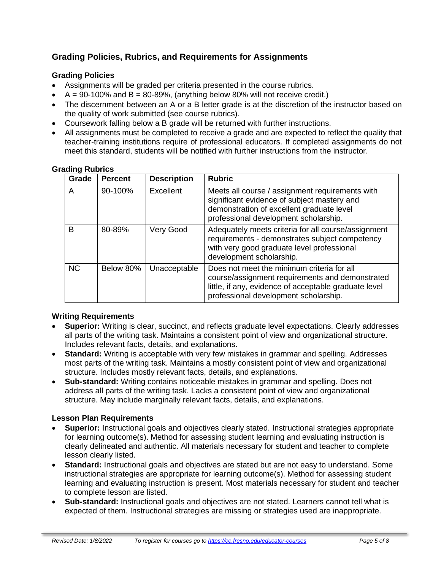# **Grading Policies, Rubrics, and Requirements for Assignments**

## **Grading Policies**

- Assignments will be graded per criteria presented in the course rubrics.
- $A = 90-100\%$  and  $B = 80-89\%$ , (anything below 80% will not receive credit.)
- The discernment between an A or a B letter grade is at the discretion of the instructor based on the quality of work submitted (see course rubrics).
- Coursework falling below a B grade will be returned with further instructions.
- All assignments must be completed to receive a grade and are expected to reflect the quality that teacher-training institutions require of professional educators. If completed assignments do not meet this standard, students will be notified with further instructions from the instructor.

| Grade     | <b>Percent</b> | <b>Description</b> | <b>Rubric</b>                                                                                                                                                                                   |
|-----------|----------------|--------------------|-------------------------------------------------------------------------------------------------------------------------------------------------------------------------------------------------|
| A         | 90-100%        | Excellent          | Meets all course / assignment requirements with<br>significant evidence of subject mastery and<br>demonstration of excellent graduate level<br>professional development scholarship.            |
| В         | 80-89%         | Very Good          | Adequately meets criteria for all course/assignment<br>requirements - demonstrates subject competency<br>with very good graduate level professional<br>development scholarship.                 |
| <b>NC</b> | Below 80%      | Unacceptable       | Does not meet the minimum criteria for all<br>course/assignment requirements and demonstrated<br>little, if any, evidence of acceptable graduate level<br>professional development scholarship. |

#### **Grading Rubrics**

### **Writing Requirements**

- **Superior:** Writing is clear, succinct, and reflects graduate level expectations. Clearly addresses all parts of the writing task. Maintains a consistent point of view and organizational structure. Includes relevant facts, details, and explanations.
- **Standard:** Writing is acceptable with very few mistakes in grammar and spelling. Addresses most parts of the writing task. Maintains a mostly consistent point of view and organizational structure. Includes mostly relevant facts, details, and explanations.
- **Sub-standard:** Writing contains noticeable mistakes in grammar and spelling. Does not address all parts of the writing task. Lacks a consistent point of view and organizational structure. May include marginally relevant facts, details, and explanations.

### **Lesson Plan Requirements**

- **Superior:** Instructional goals and objectives clearly stated. Instructional strategies appropriate for learning outcome(s). Method for assessing student learning and evaluating instruction is clearly delineated and authentic. All materials necessary for student and teacher to complete lesson clearly listed.
- **Standard:** Instructional goals and objectives are stated but are not easy to understand. Some instructional strategies are appropriate for learning outcome(s). Method for assessing student learning and evaluating instruction is present. Most materials necessary for student and teacher to complete lesson are listed.
- **Sub-standard:** Instructional goals and objectives are not stated. Learners cannot tell what is expected of them. Instructional strategies are missing or strategies used are inappropriate.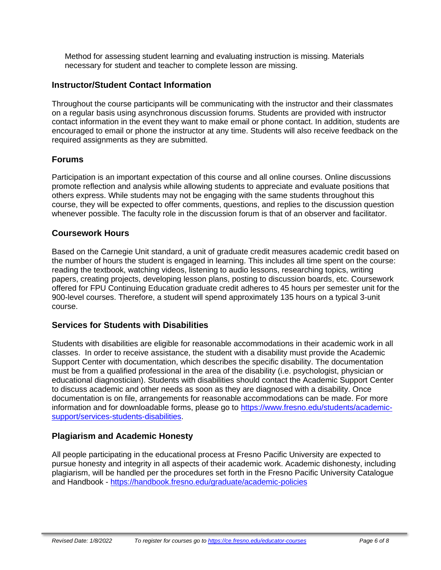Method for assessing student learning and evaluating instruction is missing. Materials necessary for student and teacher to complete lesson are missing.

## **Instructor/Student Contact Information**

Throughout the course participants will be communicating with the instructor and their classmates on a regular basis using asynchronous discussion forums. Students are provided with instructor contact information in the event they want to make email or phone contact. In addition, students are encouraged to email or phone the instructor at any time. Students will also receive feedback on the required assignments as they are submitted.

## **Forums**

Participation is an important expectation of this course and all online courses. Online discussions promote reflection and analysis while allowing students to appreciate and evaluate positions that others express. While students may not be engaging with the same students throughout this course, they will be expected to offer comments, questions, and replies to the discussion question whenever possible. The faculty role in the discussion forum is that of an observer and facilitator.

### **Coursework Hours**

Based on the Carnegie Unit standard, a unit of graduate credit measures academic credit based on the number of hours the student is engaged in learning. This includes all time spent on the course: reading the textbook, watching videos, listening to audio lessons, researching topics, writing papers, creating projects, developing lesson plans, posting to discussion boards, etc. Coursework offered for FPU Continuing Education graduate credit adheres to 45 hours per semester unit for the 900-level courses. Therefore, a student will spend approximately 135 hours on a typical 3-unit course.

### **Services for Students with Disabilities**

Students with disabilities are eligible for reasonable accommodations in their academic work in all classes. In order to receive assistance, the student with a disability must provide the Academic Support Center with documentation, which describes the specific disability. The documentation must be from a qualified professional in the area of the disability (i.e. psychologist, physician or educational diagnostician). Students with disabilities should contact the Academic Support Center to discuss academic and other needs as soon as they are diagnosed with a disability. Once documentation is on file, arrangements for reasonable accommodations can be made. For more information and for downloadable forms, please go to [https://www.fresno.edu/students/academic](https://www.fresno.edu/students/academic-support/services-students-disabilities)[support/services-students-disabilities.](https://www.fresno.edu/students/academic-support/services-students-disabilities)

# **Plagiarism and Academic Honesty**

All people participating in the educational process at Fresno Pacific University are expected to pursue honesty and integrity in all aspects of their academic work. Academic dishonesty, including plagiarism, will be handled per the procedures set forth in the Fresno Pacific University Catalogue and Handbook - <https://handbook.fresno.edu/graduate/academic-policies>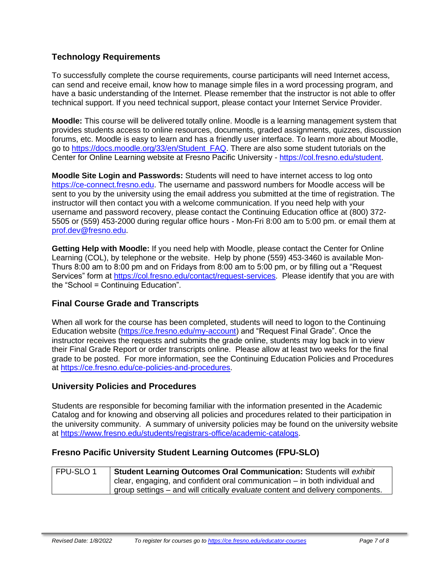## **Technology Requirements**

To successfully complete the course requirements, course participants will need Internet access, can send and receive email, know how to manage simple files in a word processing program, and have a basic understanding of the Internet. Please remember that the instructor is not able to offer technical support. If you need technical support, please contact your Internet Service Provider.

**Moodle:** This course will be delivered totally online. Moodle is a learning management system that provides students access to online resources, documents, graded assignments, quizzes, discussion forums, etc. Moodle is easy to learn and has a friendly user interface. To learn more about Moodle, go to [https://docs.moodle.org/33/en/Student\\_FAQ.](https://docs.moodle.org/33/en/Student_FAQ) There are also some student tutorials on the Center for Online Learning website at Fresno Pacific University - [https://col.fresno.edu/student.](https://col.fresno.edu/student)

**Moodle Site Login and Passwords:** Students will need to have internet access to log onto [https://ce-connect.fresno.edu.](https://ce-connect.fresno.edu/) The username and password numbers for Moodle access will be sent to you by the university using the email address you submitted at the time of registration. The instructor will then contact you with a welcome communication. If you need help with your username and password recovery, please contact the Continuing Education office at (800) 372- 5505 or (559) 453-2000 during regular office hours - Mon-Fri 8:00 am to 5:00 pm. or email them at [prof.dev@fresno.edu.](mailto:prof.dev@fresno.edu)

**Getting Help with Moodle:** If you need help with Moodle, please contact the Center for Online Learning (COL), by telephone or the website. Help by phone (559) 453-3460 is available Mon-Thurs 8:00 am to 8:00 pm and on Fridays from 8:00 am to 5:00 pm, or by filling out a "Request Services" form at [https://col.fresno.edu/contact/request-services.](https://col.fresno.edu/contact/request-services) Please identify that you are with the "School = Continuing Education".

### **Final Course Grade and Transcripts**

When all work for the course has been completed, students will need to logon to the Continuing Education website [\(https://ce.fresno.edu/my-account\)](https://ce.fresno.edu/my-account) and "Request Final Grade". Once the instructor receives the requests and submits the grade online, students may log back in to view their Final Grade Report or order transcripts online. Please allow at least two weeks for the final grade to be posted. For more information, see the Continuing Education Policies and Procedures at [https://ce.fresno.edu/ce-policies-and-procedures.](https://ce.fresno.edu/ce-policies-and-procedures)

#### **University Policies and Procedures**

Students are responsible for becoming familiar with the information presented in the Academic Catalog and for knowing and observing all policies and procedures related to their participation in the university community. A summary of university policies may be found on the university website at [https://www.fresno.edu/students/registrars-office/academic-catalogs.](https://www.fresno.edu/students/registrars-office/academic-catalogs)

#### **Fresno Pacific University Student Learning Outcomes (FPU-SLO)**

| l FPU-SLO 1 | Student Learning Outcomes Oral Communication: Students will exhibit            |
|-------------|--------------------------------------------------------------------------------|
|             | clear, engaging, and confident oral communication $-$ in both individual and   |
|             | group settings – and will critically evaluate content and delivery components. |